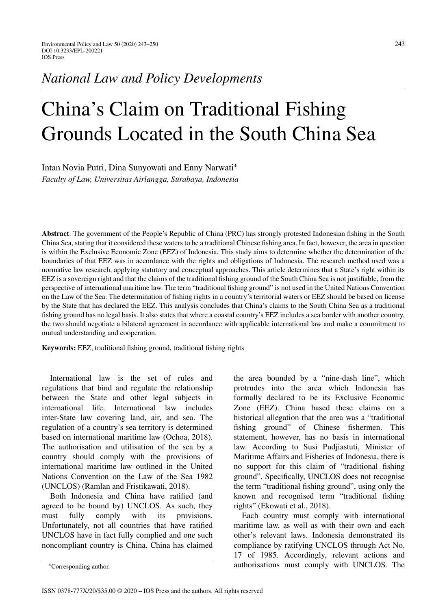# *National Law and Policy Developments*

# China's Claim on Traditional Fishing Grounds Located in the South China Sea

Intan Novia Putri, Dina Sunyowati and Enny Narwati<sup>∗</sup> *Faculty of Law, Universitas Airlangga, Surabaya, Indonesia*

**Abstract**. The government of the People's Republic of China (PRC) has strongly protested Indonesian fishing in the South China Sea, stating that it considered these waters to be a traditional Chinese fishing area. In fact, however, the area in question is within the Exclusive Economic Zone (EEZ) of Indonesia. This study aims to determine whether the determination of the boundaries of that EEZ was in accordance with the rights and obligations of Indonesia. The research method used was a normative law research, applying statutory and conceptual approaches. This article determines that a State's right within its EEZ is a sovereign right and that the claims of the traditional fishing ground of the South China Sea is not justifiable, from the perspective of international maritime law. The term "traditional fishing ground" is not used in the United Nations Convention on the Law of the Sea. The determination of fishing rights in a country's territorial waters or EEZ should be based on license by the State that has declared the EEZ. This analysis concludes that China's claims to the South China Sea as a traditional fishing ground has no legal basis. It also states that where a coastal country's EEZ includes a sea border with another country, the two should negotiate a bilateral agreement in accordance with applicable international law and make a commitment to mutual understanding and cooperation.

**Keywords:** EEZ, traditional fishing ground, traditional fishing rights

International law is the set of rules and regulations that bind and regulate the relationship between the State and other legal subjects in international life. International law includes inter-State law covering land, air, and sea. The regulation of a country's sea territory is determined based on international maritime law (Ochoa, 2018). The authorisation and utilisation of the sea by a country should comply with the provisions of international maritime law outlined in the United Nations Convention on the Law of the Sea 1982 (UNCLOS) (Ramlan and Fristikawati, 2018).

Both Indonesia and China have ratified (and agreed to be bound by) UNCLOS. As such, they must fully comply with its provisions. Unfortunately, not all countries that have ratified UNCLOS have in fact fully complied and one such noncompliant country is China. China has claimed the area bounded by a "nine-dash line", which protrudes into the area which Indonesia has formally declared to be its Exclusive Economic Zone (EEZ). China based these claims on a historical allegation that the area was a "traditional fishing ground" of Chinese fishermen. This statement, however, has no basis in international law. According to Susi Pudjiastuti, Minister of Maritime Affairs and Fisheries of Indonesia, there is no support for this claim of "traditional fishing ground". Specifically, UNCLOS does not recognise the term "traditional fishing ground", using only the known and recognised term "traditional fishing rights" (Ekowati et al., 2018).

Each country must comply with international maritime law, as well as with their own and each other's relevant laws. Indonesia demonstrated its compliance by ratifying UNCLOS through Act No. 17 of 1985. Accordingly, relevant actions and authorisations must comply with UNCLOS. The

<sup>∗</sup>Corresponding author.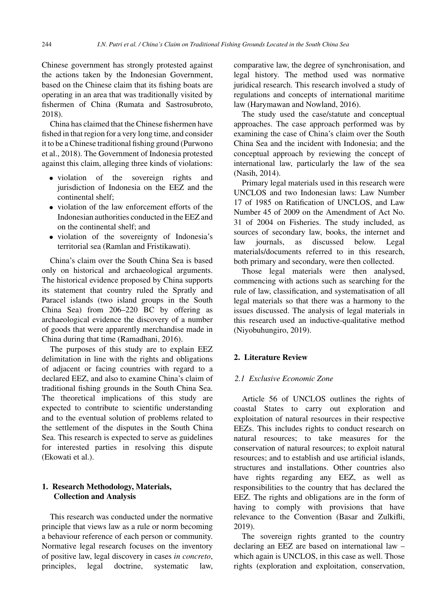Chinese government has strongly protested against the actions taken by the Indonesian Government, based on the Chinese claim that its fishing boats are operating in an area that was traditionally visited by fishermen of China (Rumata and Sastrosubroto, 2018).

China has claimed that the Chinese fishermen have fished in that region for a very long time, and consider it to be a Chinese traditional fishing ground (Purwono et al., 2018). The Government of Indonesia protested against this claim, alleging three kinds of violations:

- violation of the sovereign rights and jurisdiction of Indonesia on the EEZ and the continental shelf;
- violation of the law enforcement efforts of the Indonesian authorities conducted in the EEZ and on the continental shelf; and
- violation of the sovereignty of Indonesia's territorial sea (Ramlan and Fristikawati).

China's claim over the South China Sea is based only on historical and archaeological arguments. The historical evidence proposed by China supports its statement that country ruled the Spratly and Paracel islands (two island groups in the South China Sea) from 206–220 BC by offering as archaeological evidence the discovery of a number of goods that were apparently merchandise made in China during that time (Ramadhani, 2016).

The purposes of this study are to explain EEZ delimitation in line with the rights and obligations of adjacent or facing countries with regard to a declared EEZ, and also to examine China's claim of traditional fishing grounds in the South China Sea. The theoretical implications of this study are expected to contribute to scientific understanding and to the eventual solution of problems related to the settlement of the disputes in the South China Sea. This research is expected to serve as guidelines for interested parties in resolving this dispute (Ekowati et al.).

# **1. Research Methodology, Materials, Collection and Analysis**

This research was conducted under the normative principle that views law as a rule or norm becoming a behaviour reference of each person or community. Normative legal research focuses on the inventory of positive law, legal discovery in cases *in concreto*, principles, legal doctrine, systematic law,

comparative law, the degree of synchronisation, and legal history. The method used was normative juridical research. This research involved a study of regulations and concepts of international maritime law (Harymawan and Nowland, 2016).

The study used the case/statute and conceptual approaches. The case approach performed was by examining the case of China's claim over the South China Sea and the incident with Indonesia; and the conceptual approach by reviewing the concept of international law, particularly the law of the sea (Nasih, 2014).

Primary legal materials used in this research were UNCLOS and two Indonesian laws: Law Number 17 of 1985 on Ratification of UNCLOS, and Law Number 45 of 2009 on the Amendment of Act No. 31 of 2004 on Fisheries. The study included, as sources of secondary law, books, the internet and law journals, as discussed below. Legal materials/documents referred to in this research, both primary and secondary, were then collected.

Those legal materials were then analysed, commencing with actions such as searching for the rule of law, classification, and systematisation of all legal materials so that there was a harmony to the issues discussed. The analysis of legal materials in this research used an inductive-qualitative method (Niyobuhungiro, 2019).

#### **2. Literature Review**

#### *2.1 Exclusive Economic Zone*

Article 56 of UNCLOS outlines the rights of coastal States to carry out exploration and exploitation of natural resources in their respective EEZs. This includes rights to conduct research on natural resources; to take measures for the conservation of natural resources; to exploit natural resources; and to establish and use artificial islands, structures and installations. Other countries also have rights regarding any EEZ, as well as responsibilities to the country that has declared the EEZ. The rights and obligations are in the form of having to comply with provisions that have relevance to the Convention (Basar and Zulkifli, 2019).

The sovereign rights granted to the country declaring an EEZ are based on international law – which again is UNCLOS, in this case as well. Those rights (exploration and exploitation, conservation,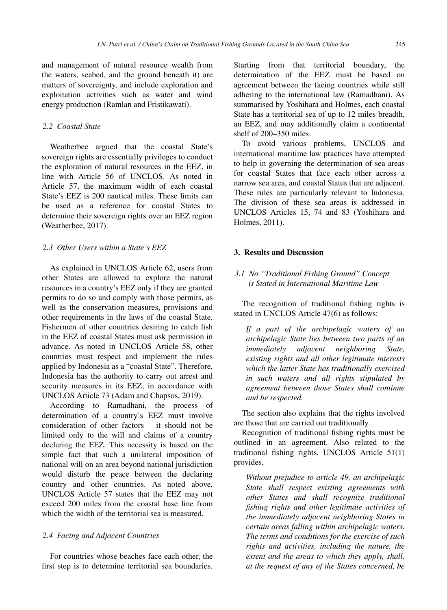and management of natural resource wealth from the waters, seabed, and the ground beneath it) are matters of sovereignty, and include exploration and exploitation activities such as water and wind energy production (Ramlan and Fristikawati).

# *2.2 Coastal State*

Weatherbee argued that the coastal State's sovereign rights are essentially privileges to conduct the exploration of natural resources in the EEZ, in line with Article 56 of UNCLOS. As noted in Article 57, the maximum width of each coastal State's EEZ is 200 nautical miles. These limits can be used as a reference for coastal States to determine their sovereign rights over an EEZ region (Weatherbee, 2017).

#### *2.3 Other Users within a State's EEZ*

As explained in UNCLOS Article 62, users from other States are allowed to explore the natural resources in a country's EEZ only if they are granted permits to do so and comply with those permits, as well as the conservation measures, provisions and other requirements in the laws of the coastal State. Fishermen of other countries desiring to catch fish in the EEZ of coastal States must ask permission in advance. As noted in UNCLOS Article 58, other countries must respect and implement the rules applied by Indonesia as a "coastal State". Therefore, Indonesia has the authority to carry out arrest and security measures in its EEZ, in accordance with UNCLOS Article 73 (Adam and Chapsos, 2019).

According to Ramadhani, the process of determination of a country's EEZ must involve consideration of other factors – it should not be limited only to the will and claims of a country declaring the EEZ. This necessity is based on the simple fact that such a unilateral imposition of national will on an area beyond national jurisdiction would disturb the peace between the declaring country and other countries. As noted above, UNCLOS Article 57 states that the EEZ may not exceed 200 miles from the coastal base line from which the width of the territorial sea is measured.

# *2.4 Facing and Adjacent Countries*

For countries whose beaches face each other, the first step is to determine territorial sea boundaries.

Starting from that territorial boundary, the determination of the EEZ must be based on agreement between the facing countries while still adhering to the international law (Ramadhani). As summarised by Yoshihara and Holmes, each coastal State has a territorial sea of up to 12 miles breadth, an EEZ, and may additionally claim a continental shelf of 200–350 miles.

To avoid various problems, UNCLOS and international maritime law practices have attempted to help in governing the determination of sea areas for coastal States that face each other across a narrow sea area, and coastal States that are adjacent. These rules are particularly relevant to Indonesia. The division of these sea areas is addressed in UNCLOS Articles 15, 74 and 83 (Yoshihara and Holmes, 2011).

#### **3. Results and Discussion**

# *3.1 No "Traditional Fishing Ground" Concept is Stated in International Maritime Law*

The recognition of traditional fishing rights is stated in UNCLOS Article 47(6) as follows:

*If a part of the archipelagic waters of an archipelagic State lies between two parts of an immediately adjacent neighboring State, existing rights and all other legitimate interests which the latter State has traditionally exercised in such waters and all rights stipulated by agreement between those States shall continue and be respected.*

The section also explains that the rights involved are those that are carried out traditionally.

Recognition of traditional fishing rights must be outlined in an agreement. Also related to the traditional fishing rights, UNCLOS Article 51(1) provides,

*Without prejudice to article 49, an archipelagic State shall respect existing agreements with other States and shall recognize traditional fishing rights and other legitimate activities of the immediately adjacent neighboring States in certain areas falling within archipelagic waters. The terms and conditions for the exercise of such rights and activities, including the nature, the extent and the areas to which they apply, shall, at the request of any of the States concerned, be*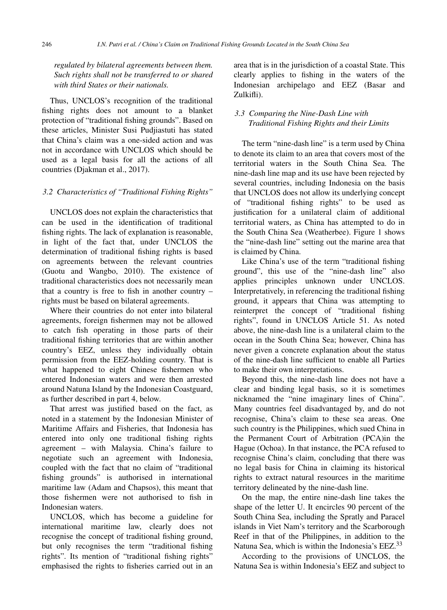*regulated by bilateral agreements between them. Such rights shall not be transferred to or shared with third States or their nationals.*

Thus, UNCLOS's recognition of the traditional fishing rights does not amount to a blanket protection of "traditional fishing grounds". Based on these articles, Minister Susi Pudjiastuti has stated that China's claim was a one-sided action and was not in accordance with UNCLOS which should be used as a legal basis for all the actions of all countries (Djakman et al., 2017).

#### *3.2 Characteristics of "Traditional Fishing Rights"*

UNCLOS does not explain the characteristics that can be used in the identification of traditional fishing rights. The lack of explanation is reasonable, in light of the fact that, under UNCLOS the determination of traditional fishing rights is based on agreements between the relevant countries (Guotu and Wangbo, 2010). The existence of traditional characteristics does not necessarily mean that a country is free to fish in another country – rights must be based on bilateral agreements.

Where their countries do not enter into bilateral agreements, foreign fishermen may not be allowed to catch fish operating in those parts of their traditional fishing territories that are within another country's EEZ, unless they individually obtain permission from the EEZ-holding country. That is what happened to eight Chinese fishermen who entered Indonesian waters and were then arrested around Natuna Island by the Indonesian Coastguard, as further described in part 4, below.

That arrest was justified based on the fact, as noted in a statement by the Indonesian Minister of Maritime Affairs and Fisheries, that Indonesia has entered into only one traditional fishing rights agreement – with Malaysia. China's failure to negotiate such an agreement with Indonesia, coupled with the fact that no claim of "traditional fishing grounds" is authorised in international maritime law (Adam and Chapsos), this meant that those fishermen were not authorised to fish in Indonesian waters.

UNCLOS, which has become a guideline for international maritime law, clearly does not recognise the concept of traditional fishing ground, but only recognises the term "traditional fishing rights". Its mention of "traditional fishing rights" emphasised the rights to fisheries carried out in an area that is in the jurisdiction of a coastal State. This clearly applies to fishing in the waters of the Indonesian archipelago and EEZ (Basar and Zulkifli).

# *3.3 Comparing the Nine-Dash Line with Traditional Fishing Rights and their Limits*

The term "nine-dash line" is a term used by China to denote its claim to an area that covers most of the territorial waters in the South China Sea. The nine-dash line map and its use have been rejected by several countries, including Indonesia on the basis that UNCLOS does not allow its underlying concept of "traditional fishing rights" to be used as justification for a unilateral claim of additional territorial waters, as China has attempted to do in the South China Sea (Weatherbee). Figure 1 shows the "nine-dash line" setting out the marine area that is claimed by China.

Like China's use of the term "traditional fishing ground", this use of the "nine-dash line" also applies principles unknown under UNCLOS. Interpretatively, in referencing the traditional fishing ground, it appears that China was attempting to reinterpret the concept of "traditional fishing rights", found in UNCLOS Article 51. As noted above, the nine-dash line is a unilateral claim to the ocean in the South China Sea; however, China has never given a concrete explanation about the status of the nine-dash line sufficient to enable all Parties to make their own interpretations.

Beyond this, the nine-dash line does not have a clear and binding legal basis, so it is sometimes nicknamed the "nine imaginary lines of China". Many countries feel disadvantaged by, and do not recognise, China's claim to these sea areas. One such country is the Philippines, which sued China in the Permanent Court of Arbitration (PCA)in the Hague (Ochoa). In that instance, the PCA refused to recognise China's claim, concluding that there was no legal basis for China in claiming its historical rights to extract natural resources in the maritime territory delineated by the nine-dash line.

On the map, the entire nine-dash line takes the shape of the letter U. It encircles 90 percent of the South China Sea, including the Spratly and Paracel islands in Viet Nam's territory and the Scarborough Reef in that of the Philippines, in addition to the Natuna Sea, which is within the Indonesia's EEZ.<sup>33</sup>

According to the provisions of UNCLOS, the Natuna Sea is within Indonesia's EEZ and subject to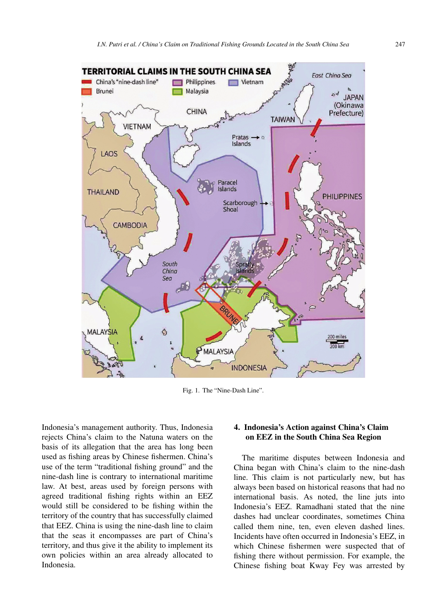

Fig. 1. The "Nine-Dash Line".

Indonesia's management authority. Thus, Indonesia rejects China's claim to the Natuna waters on the basis of its allegation that the area has long been used as fishing areas by Chinese fishermen. China's use of the term "traditional fishing ground" and the nine-dash line is contrary to international maritime law. At best, areas used by foreign persons with agreed traditional fishing rights within an EEZ would still be considered to be fishing within the territory of the country that has successfully claimed that EEZ. China is using the nine-dash line to claim that the seas it encompasses are part of China's territory, and thus give it the ability to implement its own policies within an area already allocated to Indonesia.

# **4. Indonesia's Action against China's Claim on EEZ in the South China Sea Region**

The maritime disputes between Indonesia and China began with China's claim to the nine-dash line. This claim is not particularly new, but has always been based on historical reasons that had no international basis. As noted, the line juts into Indonesia's EEZ. Ramadhani stated that the nine dashes had unclear coordinates, sometimes China called them nine, ten, even eleven dashed lines. Incidents have often occurred in Indonesia's EEZ, in which Chinese fishermen were suspected that of fishing there without permission. For example, the Chinese fishing boat Kway Fey was arrested by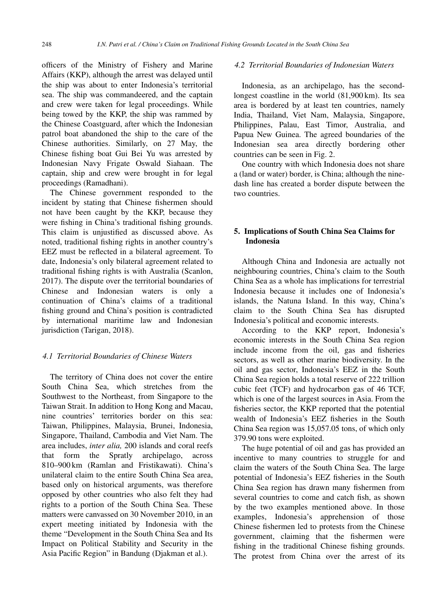officers of the Ministry of Fishery and Marine Affairs (KKP), although the arrest was delayed until the ship was about to enter Indonesia's territorial sea. The ship was commandeered, and the captain and crew were taken for legal proceedings. While being towed by the KKP, the ship was rammed by the Chinese Coastguard, after which the Indonesian patrol boat abandoned the ship to the care of the Chinese authorities. Similarly, on 27 May, the Chinese fishing boat Gui Bei Yu was arrested by Indonesian Navy Frigate Oswald Siahaan. The captain, ship and crew were brought in for legal proceedings (Ramadhani).

The Chinese government responded to the incident by stating that Chinese fishermen should not have been caught by the KKP, because they were fishing in China's traditional fishing grounds. This claim is unjustified as discussed above. As noted, traditional fishing rights in another country's EEZ must be reflected in a bilateral agreement. To date, Indonesia's only bilateral agreement related to traditional fishing rights is with Australia (Scanlon, 2017). The dispute over the territorial boundaries of Chinese and Indonesian waters is only a continuation of China's claims of a traditional fishing ground and China's position is contradicted by international maritime law and Indonesian jurisdiction (Tarigan, 2018).

#### *4.1 Territorial Boundaries of Chinese Waters*

The territory of China does not cover the entire South China Sea, which stretches from the Southwest to the Northeast, from Singapore to the Taiwan Strait. In addition to Hong Kong and Macau, nine countries' territories border on this sea: Taiwan, Philippines, Malaysia, Brunei, Indonesia, Singapore, Thailand, Cambodia and Viet Nam. The area includes, *inter alia,* 200 islands and coral reefs that form the Spratly archipelago, across 810–900 km (Ramlan and Fristikawati). China's unilateral claim to the entire South China Sea area, based only on historical arguments, was therefore opposed by other countries who also felt they had rights to a portion of the South China Sea. These matters were canvassed on 30 November 2010, in an expert meeting initiated by Indonesia with the theme "Development in the South China Sea and Its Impact on Political Stability and Security in the Asia Pacific Region" in Bandung (Djakman et al.).

#### *4.2 Territorial Boundaries of Indonesian Waters*

Indonesia, as an archipelago, has the secondlongest coastline in the world (81,900 km). Its sea area is bordered by at least ten countries, namely India, Thailand, Viet Nam, Malaysia, Singapore, Philippines, Palau, East Timor, Australia, and Papua New Guinea. The agreed boundaries of the Indonesian sea area directly bordering other countries can be seen in Fig. 2.

One country with which Indonesia does not share a (land or water) border, is China; although the ninedash line has created a border dispute between the two countries.

# **5. Implications of South China Sea Claims for Indonesia**

Although China and Indonesia are actually not neighbouring countries, China's claim to the South China Sea as a whole has implications for terrestrial Indonesia because it includes one of Indonesia's islands, the Natuna Island. In this way, China's claim to the South China Sea has disrupted Indonesia's political and economic interests.

According to the KKP report, Indonesia's economic interests in the South China Sea region include income from the oil, gas and fisheries sectors, as well as other marine biodiversity. In the oil and gas sector, Indonesia's EEZ in the South China Sea region holds a total reserve of 222 trillion cubic feet (TCF) and hydrocarbon gas of 46 TCF, which is one of the largest sources in Asia. From the fisheries sector, the KKP reported that the potential wealth of Indonesia's EEZ fisheries in the South China Sea region was 15,057.05 tons, of which only 379.90 tons were exploited.

The huge potential of oil and gas has provided an incentive to many countries to struggle for and claim the waters of the South China Sea. The large potential of Indonesia's EEZ fisheries in the South China Sea region has drawn many fishermen from several countries to come and catch fish, as shown by the two examples mentioned above. In those examples, Indonesia's apprehension of those Chinese fishermen led to protests from the Chinese government, claiming that the fishermen were fishing in the traditional Chinese fishing grounds. The protest from China over the arrest of its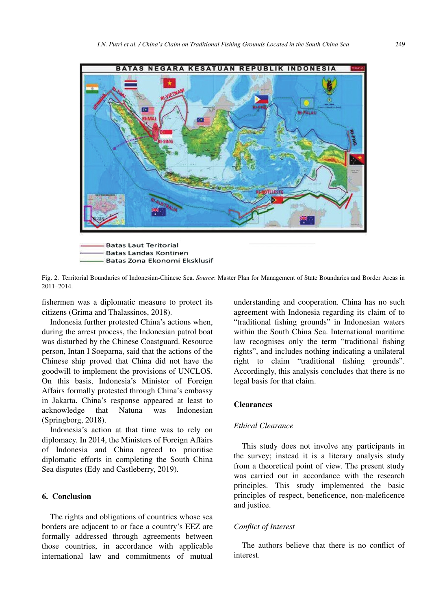

Batas Zona Ekonomi Eksklusif

Fig. 2. Territorial Boundaries of Indonesian-Chinese Sea. *Source*: Master Plan for Management of State Boundaries and Border Areas in 2011–2014.

fishermen was a diplomatic measure to protect its citizens (Grima and Thalassinos, 2018).

Indonesia further protested China's actions when, during the arrest process, the Indonesian patrol boat was disturbed by the Chinese Coastguard. Resource person, Intan I Soeparna, said that the actions of the Chinese ship proved that China did not have the goodwill to implement the provisions of UNCLOS. On this basis, Indonesia's Minister of Foreign Affairs formally protested through China's embassy in Jakarta. China's response appeared at least to acknowledge that Natuna was Indonesian (Springborg, 2018).

Indonesia's action at that time was to rely on diplomacy. In 2014, the Ministers of Foreign Affairs of Indonesia and China agreed to prioritise diplomatic efforts in completing the South China Sea disputes (Edy and Castleberry, 2019).

# **6. Conclusion**

The rights and obligations of countries whose sea borders are adjacent to or face a country's EEZ are formally addressed through agreements between those countries, in accordance with applicable international law and commitments of mutual

understanding and cooperation. China has no such agreement with Indonesia regarding its claim of to "traditional fishing grounds" in Indonesian waters within the South China Sea. International maritime law recognises only the term "traditional fishing rights", and includes nothing indicating a unilateral right to claim "traditional fishing grounds". Accordingly, this analysis concludes that there is no legal basis for that claim.

#### **Clearances**

# *Ethical Clearance*

This study does not involve any participants in the survey; instead it is a literary analysis study from a theoretical point of view. The present study was carried out in accordance with the research principles. This study implemented the basic principles of respect, beneficence, non-maleficence and justice.

# *Conflict of Interest*

The authors believe that there is no conflict of interest.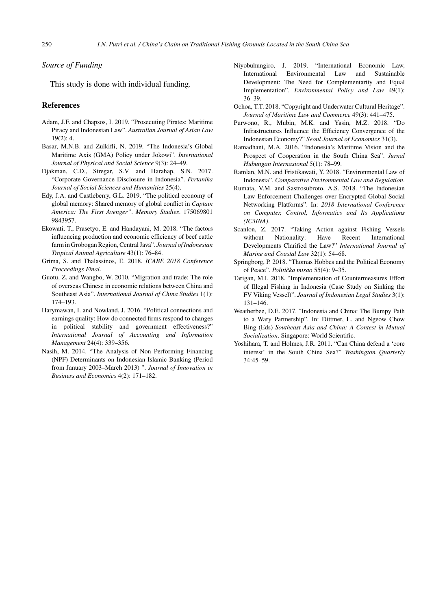#### *Source of Funding*

This study is done with individual funding.

#### **References**

- Adam, J.F. and Chapsos, I. 2019. "Prosecuting Pirates: Maritime Piracy and Indonesian Law". *Australian Journal of Asian Law* 19(2): 4.
- Basar, M.N.B. and Zulkifli, N. 2019. "The Indonesia's Global Maritime Axis (GMA) Policy under Jokowi". *International Journal of Physical and Social Science* 9(3): 24–49.
- Djakman, C.D., Siregar, S.V. and Harahap, S.N. 2017. "Corporate Governance Disclosure in Indonesia". *Pertanika Journal of Social Sciences and Humanities* 25(4).
- Edy, J.A. and Castleberry, G.L. 2019. "The political economy of global memory: Shared memory of global conflict in *Captain America: The First Avenger"*. *Memory Studies*. 175069801 9843957.
- Ekowati, T., Prasetyo, E. and Handayani, M. 2018. "The factors influencing production and economic efficiency of beef cattle farm in Grobogan Region, Central Java". *Journal of Indonesian Tropical Animal Agriculture* 43(1): 76–84.
- Grima, S. and Thalassinos, E. 2018. *ICABE 2018 Conference Proceedings Final*.
- Guotu, Z. and Wangbo, W. 2010. "Migration and trade: The role of overseas Chinese in economic relations between China and Southeast Asia". *International Journal of China Studies* 1(1): 174–193.
- Harymawan, I. and Nowland, J. 2016. "Political connections and earnings quality: How do connected firms respond to changes in political stability and government effectiveness?" *International Journal of Accounting and Information Management* 24(4): 339–356.
- Nasih, M. 2014. "The Analysis of Non Performing Financing (NPF) Determinants on Indonesian Islamic Banking (Period from January 2003–March 2013) ". *Journal of Innovation in Business and Economics* 4(2): 171–182.
- Niyobuhungiro, J. 2019. "International Economic Law, Environmental Law and Sustainable Development: The Need for Complementarity and Equal Implementation". *Environmental Policy and Law* 49(1): 36–39.
- Ochoa, T.T. 2018. "Copyright and Underwater Cultural Heritage". *Journal of Maritime Law and Commerce* 49(3): 441–475.
- Purwono, R., Mubin, M.K. and Yasin, M.Z. 2018. "Do Infrastructures Influence the Efficiency Convergence of the Indonesian Economy?" *Seoul Journal of Economics* 31(3).
- Ramadhani, M.A. 2016. "Indonesia's Maritime Vision and the Prospect of Cooperation in the South China Sea". *Jurnal Hubungan Internasional* 5(1): 78–99.
- Ramlan, M.N. and Fristikawati, Y. 2018. "Environmental Law of Indonesia". *Comparative Environmental Law and Regulation*.
- Rumata, V.M. and Sastrosubroto, A.S. 2018. "The Indonesian Law Enforcement Challenges over Encrypted Global Social Networking Platforms". In: *2018 International Conference on Computer, Control, Informatics and Its Applications (IC3INA)*.
- Scanlon, Z. 2017. "Taking Action against Fishing Vessels without Nationality: Have Recent International Developments Clarified the Law?" *International Journal of Marine and Coastal Law* 32(1): 54–68.
- Springborg, P. 2018. "Thomas Hobbes and the Political Economy of Peace". *Politička misao* 55(4): 9-35.
- Tarigan, M.I. 2018. "Implementation of Countermeasures Effort of Illegal Fishing in Indonesia (Case Study on Sinking the FV Viking Vessel)". *Journal of Indonesian Legal Studies* 3(1): 131–146.
- Weatherbee, D.E. 2017. "Indonesia and China: The Bumpy Path to a Wary Partnership". In: Dittmer, L. and Ngeow Chow Bing (Eds) *Southeast Asia and China: A Contest in Mutual Socialization*. Singapore: World Scientific.
- Yoshihara, T. and Holmes, J.R. 2011. "Can China defend a 'core interest' in the South China Sea?" *Washington Quarterly* 34:45–59.